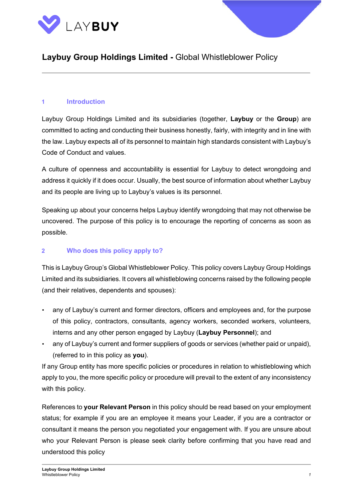



#### **1 Introduction**

Laybuy Group Holdings Limited and its subsidiaries (together, **Laybuy** or the **Group**) are committed to acting and conducting their business honestly, fairly, with integrity and in line with the law. Laybuy expects all of its personnel to maintain high standards consistent with Laybuy's Code of Conduct and values.

A culture of openness and accountability is essential for Laybuy to detect wrongdoing and address it quickly if it does occur. Usually, the best source of information about whether Laybuy and its people are living up to Laybuy's values is its personnel.

Speaking up about your concerns helps Laybuy identify wrongdoing that may not otherwise be uncovered. The purpose of this policy is to encourage the reporting of concerns as soon as possible.

#### **2 Who does this policy apply to?**

This is Laybuy Group's Global Whistleblower Policy. This policy covers Laybuy Group Holdings Limited and its subsidiaries. It covers all whistleblowing concerns raised by the following people (and their relatives, dependents and spouses):

- any of Laybuy's current and former directors, officers and employees and, for the purpose of this policy, contractors, consultants, agency workers, seconded workers, volunteers, interns and any other person engaged by Laybuy (**Laybuy Personnel**); and
- any of Laybuy's current and former suppliers of goods or services (whether paid or unpaid), (referred to in this policy as **you**).

If any Group entity has more specific policies or procedures in relation to whistleblowing which apply to you, the more specific policy or procedure will prevail to the extent of any inconsistency with this policy.

References to **your Relevant Person** in this policy should be read based on your employment status; for example if you are an employee it means your Leader, if you are a contractor or consultant it means the person you negotiated your engagement with. If you are unsure about who your Relevant Person is please seek clarity before confirming that you have read and understood this policy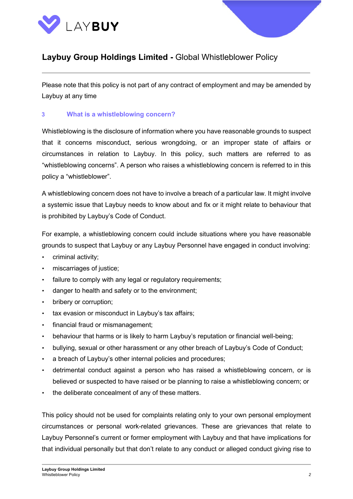



Please note that this policy is not part of any contract of employment and may be amended by Laybuy at any time

#### **3 What is a whistleblowing concern?**

Whistleblowing is the disclosure of information where you have reasonable grounds to suspect that it concerns misconduct, serious wrongdoing, or an improper state of affairs or circumstances in relation to Laybuy. In this policy, such matters are referred to as "whistleblowing concerns". A person who raises a whistleblowing concern is referred to in this policy a "whistleblower".

A whistleblowing concern does not have to involve a breach of a particular law. It might involve a systemic issue that Laybuy needs to know about and fix or it might relate to behaviour that is prohibited by Laybuy's Code of Conduct.

For example, a whistleblowing concern could include situations where you have reasonable grounds to suspect that Laybuy or any Laybuy Personnel have engaged in conduct involving:

- criminal activity;
- miscarriages of justice;
- failure to comply with any legal or regulatory requirements;
- danger to health and safety or to the environment;
- bribery or corruption;
- tax evasion or misconduct in Laybuy's tax affairs;
- financial fraud or mismanagement;
- behaviour that harms or is likely to harm Laybuy's reputation or financial well-being;
- bullying, sexual or other harassment or any other breach of Laybuy's Code of Conduct;
- a breach of Laybuy's other internal policies and procedures;
- detrimental conduct against a person who has raised a whistleblowing concern, or is believed or suspected to have raised or be planning to raise a whistleblowing concern; or
- the deliberate concealment of any of these matters.

This policy should not be used for complaints relating only to your own personal employment circumstances or personal work-related grievances. These are grievances that relate to Laybuy Personnel's current or former employment with Laybuy and that have implications for that individual personally but that don't relate to any conduct or alleged conduct giving rise to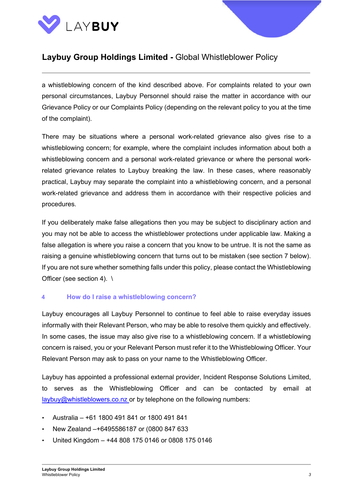



a whistleblowing concern of the kind described above. For complaints related to your own personal circumstances, Laybuy Personnel should raise the matter in accordance with our Grievance Policy or our Complaints Policy (depending on the relevant policy to you at the time of the complaint).

There may be situations where a personal work-related grievance also gives rise to a whistleblowing concern; for example, where the complaint includes information about both a whistleblowing concern and a personal work-related grievance or where the personal workrelated grievance relates to Laybuy breaking the law. In these cases, where reasonably practical, Laybuy may separate the complaint into a whistleblowing concern, and a personal work-related grievance and address them in accordance with their respective policies and procedures.

If you deliberately make false allegations then you may be subject to disciplinary action and you may not be able to access the whistleblower protections under applicable law. Making a false allegation is where you raise a concern that you know to be untrue. It is not the same as raising a genuine whistleblowing concern that turns out to be mistaken (see section 7 below). If you are not sure whether something falls under this policy, please contact the Whistleblowing Officer (see section 4). \

#### **4 How do I raise a whistleblowing concern?**

Laybuy encourages all Laybuy Personnel to continue to feel able to raise everyday issues informally with their Relevant Person, who may be able to resolve them quickly and effectively. In some cases, the issue may also give rise to a whistleblowing concern. If a whistleblowing concern is raised, you or your Relevant Person must refer it to the Whistleblowing Officer. Your Relevant Person may ask to pass on your name to the Whistleblowing Officer.

Laybuy has appointed a professional external provider, Incident Response Solutions Limited, to serves as the Whistleblowing Officer and can be contacted by email at [laybuy@whistleblowers.co.nz](mailto:laybuy@whistleblowers.co.nz) or by telephone on the following numbers:

- Australia +61 1800 491 841 or 1800 491 841
- New Zealand –+6495586187 or (0800 847 633
- United Kingdom +44 808 175 0146 or 0808 175 0146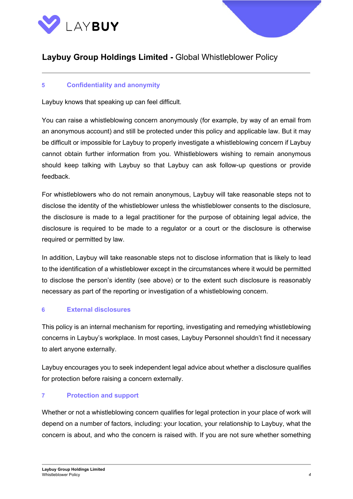



### **5 Confidentiality and anonymity**

Laybuy knows that speaking up can feel difficult.

You can raise a whistleblowing concern anonymously (for example, by way of an email from an anonymous account) and still be protected under this policy and applicable law. But it may be difficult or impossible for Laybuy to properly investigate a whistleblowing concern if Laybuy cannot obtain further information from you. Whistleblowers wishing to remain anonymous should keep talking with Laybuy so that Laybuy can ask follow-up questions or provide feedback.

For whistleblowers who do not remain anonymous, Laybuy will take reasonable steps not to disclose the identity of the whistleblower unless the whistleblower consents to the disclosure, the disclosure is made to a legal practitioner for the purpose of obtaining legal advice, the disclosure is required to be made to a regulator or a court or the disclosure is otherwise required or permitted by law.

In addition, Laybuy will take reasonable steps not to disclose information that is likely to lead to the identification of a whistleblower except in the circumstances where it would be permitted to disclose the person's identity (see above) or to the extent such disclosure is reasonably necessary as part of the reporting or investigation of a whistleblowing concern.

### **6 External disclosures**

This policy is an internal mechanism for reporting, investigating and remedying whistleblowing concerns in Laybuy's workplace. In most cases, Laybuy Personnel shouldn't find it necessary to alert anyone externally.

Laybuy encourages you to seek independent legal advice about whether a disclosure qualifies for protection before raising a concern externally.

### **7 Protection and support**

Whether or not a whistleblowing concern qualifies for legal protection in your place of work will depend on a number of factors, including: your location, your relationship to Laybuy, what the concern is about, and who the concern is raised with. If you are not sure whether something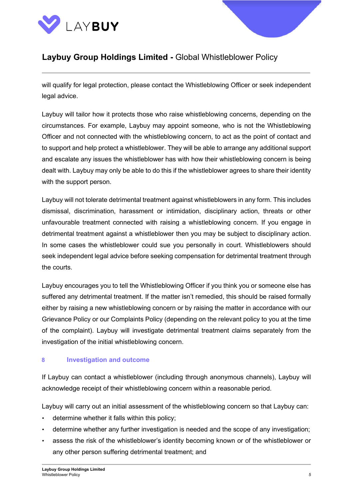



will qualify for legal protection, please contact the Whistleblowing Officer or seek independent legal advice.

Laybuy will tailor how it protects those who raise whistleblowing concerns, depending on the circumstances. For example, Laybuy may appoint someone, who is not the Whistleblowing Officer and not connected with the whistleblowing concern, to act as the point of contact and to support and help protect a whistleblower. They will be able to arrange any additional support and escalate any issues the whistleblower has with how their whistleblowing concern is being dealt with. Laybuy may only be able to do this if the whistleblower agrees to share their identity with the support person.

Laybuy will not tolerate detrimental treatment against whistleblowers in any form. This includes dismissal, discrimination, harassment or intimidation, disciplinary action, threats or other unfavourable treatment connected with raising a whistleblowing concern. If you engage in detrimental treatment against a whistleblower then you may be subject to disciplinary action. In some cases the whistleblower could sue you personally in court. Whistleblowers should seek independent legal advice before seeking compensation for detrimental treatment through the courts.

Laybuy encourages you to tell the Whistleblowing Officer if you think you or someone else has suffered any detrimental treatment. If the matter isn't remedied, this should be raised formally either by raising a new whistleblowing concern or by raising the matter in accordance with our Grievance Policy or our Complaints Policy (depending on the relevant policy to you at the time of the complaint). Laybuy will investigate detrimental treatment claims separately from the investigation of the initial whistleblowing concern.

### **8 Investigation and outcome**

If Laybuy can contact a whistleblower (including through anonymous channels), Laybuy will acknowledge receipt of their whistleblowing concern within a reasonable period.

Laybuy will carry out an initial assessment of the whistleblowing concern so that Laybuy can:

- determine whether it falls within this policy;
- determine whether any further investigation is needed and the scope of any investigation;
- assess the risk of the whistleblower's identity becoming known or of the whistleblower or any other person suffering detrimental treatment; and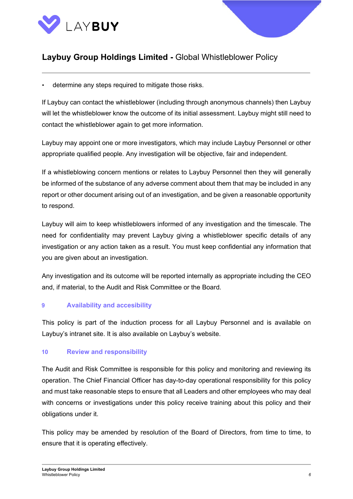



determine any steps required to mitigate those risks.

If Laybuy can contact the whistleblower (including through anonymous channels) then Laybuy will let the whistleblower know the outcome of its initial assessment. Laybuy might still need to contact the whistleblower again to get more information.

Laybuy may appoint one or more investigators, which may include Laybuy Personnel or other appropriate qualified people. Any investigation will be objective, fair and independent.

If a whistleblowing concern mentions or relates to Laybuy Personnel then they will generally be informed of the substance of any adverse comment about them that may be included in any report or other document arising out of an investigation, and be given a reasonable opportunity to respond.

Laybuy will aim to keep whistleblowers informed of any investigation and the timescale. The need for confidentiality may prevent Laybuy giving a whistleblower specific details of any investigation or any action taken as a result. You must keep confidential any information that you are given about an investigation.

Any investigation and its outcome will be reported internally as appropriate including the CEO and, if material, to the Audit and Risk Committee or the Board.

### **9 Availability and accesibility**

This policy is part of the induction process for all Laybuy Personnel and is available on Laybuy's intranet site. It is also available on Laybuy's website.

### **10 Review and responsibility**

The Audit and Risk Committee is responsible for this policy and monitoring and reviewing its operation. The Chief Financial Officer has day-to-day operational responsibility for this policy and must take reasonable steps to ensure that all Leaders and other employees who may deal with concerns or investigations under this policy receive training about this policy and their obligations under it.

This policy may be amended by resolution of the Board of Directors, from time to time, to ensure that it is operating effectively.